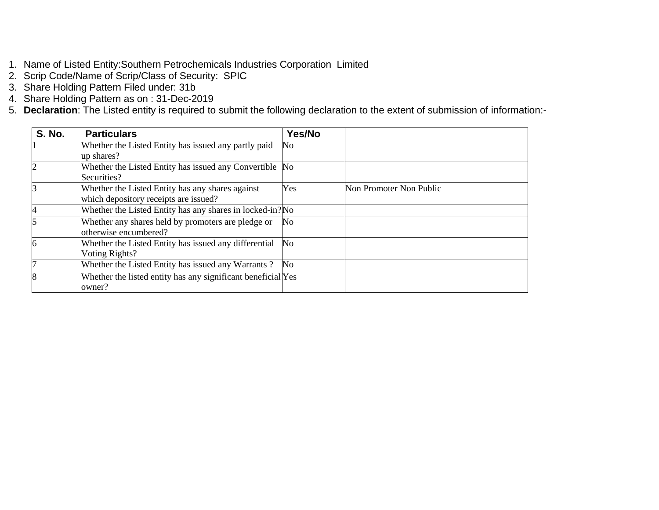- 1. Name of Listed Entity:Southern Petrochemicals Industries Corporation Limited
- 2. Scrip Code/Name of Scrip/Class of Security: SPIC
- 3. Share Holding Pattern Filed under: 31b
- 4. Share Holding Pattern as on : 31-Dec-2019
- 5. **Declaration**: The Listed entity is required to submit the following declaration to the extent of submission of information:-

| <b>S. No.</b> | <b>Particulars</b>                                           | Yes/No |                         |
|---------------|--------------------------------------------------------------|--------|-------------------------|
|               | Whether the Listed Entity has issued any partly paid         | No.    |                         |
|               | up shares?                                                   |        |                         |
|               | Whether the Listed Entity has issued any Convertible No      |        |                         |
|               | Securities?                                                  |        |                         |
|               | Whether the Listed Entity has any shares against             | Yes    | Non Promoter Non Public |
|               | which depository receipts are issued?                        |        |                         |
|               | Whether the Listed Entity has any shares in locked-in? No    |        |                         |
|               | Whether any shares held by promoters are pledge or           | No     |                         |
|               | otherwise encumbered?                                        |        |                         |
| 6             | Whether the Listed Entity has issued any differential        | No     |                         |
|               | Voting Rights?                                               |        |                         |
|               | Whether the Listed Entity has issued any Warrants?           | No.    |                         |
| 8             | Whether the listed entity has any significant beneficial Yes |        |                         |
|               | owner?                                                       |        |                         |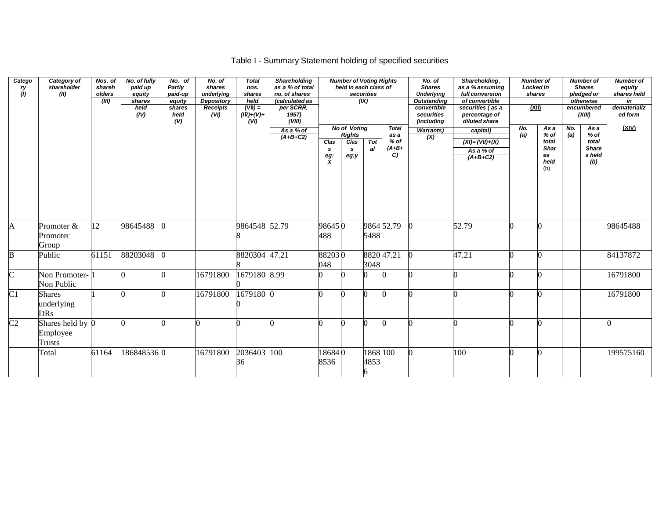## Table I - Summary Statement holding of specified securities

| Catego<br>ry<br>(1)     | Category of<br>shareholder<br>(II)        | Nos. of<br>shareh<br>olders<br>(III) | No. of fully<br>paid up<br>equity<br>shares<br>held<br>(IV) | No. of<br>Partly<br>paid-up<br>equity<br>shares<br>held<br>$\overline{(V)}$ | No. of<br>shares<br>underlying<br><b>Depository</b><br><b>Receipts</b><br>(VI) | <b>Total</b><br>nos.<br>shares<br>held<br>$(VII) =$<br>$(IV)+(V)+$<br>(VI) | <b>Shareholding</b><br>as a % of total<br>no. of shares<br>(calculated as<br>per SCRR,<br>1957)<br>(VIII) |                              | <b>Number of Voting Rights</b><br>held in each class of   | securities<br>(X)     |                                                | No. of<br><b>Shares</b><br><b>Underlying</b><br><b>Outstanding</b><br>convertible<br>securities<br>(including | Shareholding,<br>as a % assuming<br>full conversion<br>of convertible<br>securities (as a<br>percentage of<br>diluted share | <b>Number of</b><br>Locked in<br>shares<br>(XII) |                                                    |            | <b>Number of</b><br><b>Shares</b><br>pledged or<br>otherwise<br>encumbered<br>(XIII) | <b>Number of</b><br>equity<br>shares held<br>in<br>dematerializ<br>ed form |
|-------------------------|-------------------------------------------|--------------------------------------|-------------------------------------------------------------|-----------------------------------------------------------------------------|--------------------------------------------------------------------------------|----------------------------------------------------------------------------|-----------------------------------------------------------------------------------------------------------|------------------------------|-----------------------------------------------------------|-----------------------|------------------------------------------------|---------------------------------------------------------------------------------------------------------------|-----------------------------------------------------------------------------------------------------------------------------|--------------------------------------------------|----------------------------------------------------|------------|--------------------------------------------------------------------------------------|----------------------------------------------------------------------------|
|                         |                                           |                                      |                                                             |                                                                             |                                                                                |                                                                            | As a % of<br>$(A+B+C2)$                                                                                   | Clas<br>s.<br>$\frac{eg}{X}$ | <b>No of Voting</b><br><b>Rights</b><br>Clas<br>s<br>eg:y | Tot<br>al             | <b>Total</b><br>as a<br>$%$ of<br>$(A+B+$<br>C | <b>Warrants)</b><br>(X)                                                                                       | capital)<br>$(XI) = (VII) + (X)$<br>As a % of<br>$(A+B+C2)$                                                                 | No.<br>(a)                                       | As a<br>% of<br>total<br>Shar<br>es<br>held<br>(b) | No.<br>(a) | As a<br>$%$ of<br>total<br><b>Share</b><br>s held<br>(b)                             | (XIV)                                                                      |
| A                       | Promoter &<br>Promoter<br>Group           | 12                                   | 98645488                                                    |                                                                             |                                                                                | 9864548 52.79                                                              |                                                                                                           | 986450<br>488                |                                                           | 5488                  | 9864 52.79                                     |                                                                                                               | 52.79                                                                                                                       |                                                  | ∩                                                  |            |                                                                                      | 98645488                                                                   |
| $\overline{\mathbf{B}}$ | Public                                    | 61151                                | 88203048                                                    |                                                                             |                                                                                | 8820304                                                                    | 47.21                                                                                                     | 882030<br>048                |                                                           | 3048                  | 882047.21                                      |                                                                                                               | 47.21                                                                                                                       |                                                  | ∩                                                  |            |                                                                                      | 84137872                                                                   |
| $\overline{C}$          | Non Promoter-1<br>Non Public              |                                      |                                                             |                                                                             | 16791800                                                                       | 1679180 8.99                                                               |                                                                                                           |                              |                                                           |                       |                                                |                                                                                                               |                                                                                                                             |                                                  | ∩                                                  |            |                                                                                      | 16791800                                                                   |
| $\overline{C}$          | <b>Shares</b><br>underlying<br><b>DRs</b> |                                      |                                                             |                                                                             | 16791800                                                                       | 1679180 0                                                                  |                                                                                                           |                              |                                                           |                       |                                                |                                                                                                               |                                                                                                                             |                                                  | ∩                                                  |            |                                                                                      | 16791800                                                                   |
| C <sub>2</sub>          | Shares held by 0<br>Employee<br>Trusts    |                                      |                                                             |                                                                             |                                                                                |                                                                            |                                                                                                           |                              |                                                           |                       |                                                |                                                                                                               |                                                                                                                             |                                                  | 0                                                  |            |                                                                                      |                                                                            |
|                         | Total                                     | 61164                                | 1868485360                                                  |                                                                             | 16791800                                                                       | 2036403 100<br>36                                                          |                                                                                                           | 186840<br>8536               |                                                           | 1868 100<br>4853<br>6 |                                                |                                                                                                               | 100                                                                                                                         |                                                  | ∩                                                  |            |                                                                                      | 199575160                                                                  |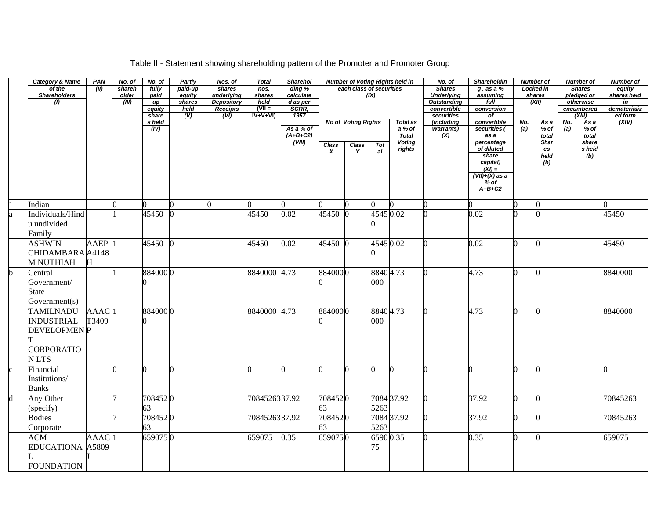## Table II - Statement showing shareholding pattern of the Promoter and Promoter Group

|                         | <b>Category &amp; Name</b> | <b>PAN</b>        | No. of | No. of        | Partly         | Nos. of                              | <b>Total</b>         | <b>Sharehol</b>   |              |                            |           | <b>Number of Voting Rights held in</b> | No. of                            | <b>Shareholdin</b>       |     | <b>Number of</b>  |     | <b>Number of</b>        | Number of          |
|-------------------------|----------------------------|-------------------|--------|---------------|----------------|--------------------------------------|----------------------|-------------------|--------------|----------------------------|-----------|----------------------------------------|-----------------------------------|--------------------------|-----|-------------------|-----|-------------------------|--------------------|
|                         | of the                     | (III)             | shareh | fully         | paid-up        | shares                               | nos.                 | ding %            |              | each class of securities   |           |                                        | <b>Shares</b>                     | $g$ , as a $%$           |     | <b>Locked in</b>  |     | <b>Shares</b>           | equity             |
|                         | <b>Shareholders</b>        |                   | older  | paid          | equity         | underlying                           | shares               | calculate         |              |                            | (IX)      |                                        | <b>Underlying</b>                 | assuming                 |     | shares            |     | pledged or              | shares held        |
|                         | (1)                        |                   | (III)  | up<br>equity  | shares<br>held | <b>Depository</b><br><b>Receipts</b> | held<br>$(VII =$     | d as per<br>SCRR, |              |                            |           |                                        | <b>Outstanding</b><br>convertible | full<br>conversion       |     | (XII)             |     | otherwise<br>encumbered | in<br>dematerializ |
|                         |                            |                   |        | share         | (V)            | $\overline{(VI)}$                    | $\overline{IV+V+VI}$ | 1957              |              |                            |           |                                        | securities                        | $\overline{of}$          |     |                   |     | (XIII)                  | ed form            |
|                         |                            |                   |        | s held        |                |                                      |                      |                   |              | <b>No of Voting Rights</b> |           | Total as                               | (including                        | convertible              | No. | As a              | No. | As a                    | (XIV)              |
|                         |                            |                   |        | (IV)          |                |                                      |                      | As a % of         |              |                            |           | a % of                                 | <b>Warrants)</b>                  | securities               | (a) | % of              | (a) | % of                    |                    |
|                         |                            |                   |        |               |                |                                      |                      | $(A+B+C2)$        |              |                            |           | <b>Total</b>                           | (X)                               | as a                     |     | total             |     | total                   |                    |
|                         |                            |                   |        |               |                |                                      |                      | (VIII)            | <b>Class</b> | <b>Class</b>               | Tot       | <b>Voting</b>                          |                                   | percentage<br>of diluted |     | <b>Shar</b><br>es |     | share<br>s held         |                    |
|                         |                            |                   |        |               |                |                                      |                      |                   | X            | Y                          | al        | rights                                 |                                   | share                    |     | held              |     | (b)                     |                    |
|                         |                            |                   |        |               |                |                                      |                      |                   |              |                            |           |                                        |                                   |                          |     | (b)               |     |                         |                    |
|                         |                            |                   |        |               |                |                                      |                      |                   |              |                            |           |                                        |                                   | $\frac{capital)}{(XI)}$  |     |                   |     |                         |                    |
|                         |                            |                   |        |               |                |                                      |                      |                   |              |                            |           |                                        |                                   | $(VII)+(X)$ as a         |     |                   |     |                         |                    |
|                         |                            |                   |        |               |                |                                      |                      |                   |              |                            |           |                                        |                                   | $%$ of<br>$A+B+C2$       |     |                   |     |                         |                    |
|                         |                            |                   |        |               |                |                                      |                      |                   |              |                            |           |                                        |                                   |                          |     |                   |     |                         |                    |
|                         | Indian                     |                   |        |               |                | 0                                    |                      |                   |              |                            |           |                                        |                                   |                          |     | ∩                 |     |                         |                    |
|                         | Individuals/Hind           |                   |        | 45450         |                |                                      | 45450                | 0.02              | 45450        |                            | 4545 0.02 |                                        |                                   | 0.02                     |     | 0                 |     |                         | 45450              |
|                         | u undivided                |                   |        |               |                |                                      |                      |                   |              |                            |           |                                        |                                   |                          |     |                   |     |                         |                    |
|                         | Family                     |                   |        |               |                |                                      |                      |                   |              |                            |           |                                        |                                   |                          |     |                   |     |                         |                    |
|                         | <b>ASHWIN</b>              | AAEP              |        | 45450 0       |                |                                      | 45450                | 0.02              | 45450        |                            | 4545 0.02 |                                        |                                   | 0.02                     |     | 0                 |     |                         | 45450              |
|                         | CHIDAMBARA A4148           |                   |        |               |                |                                      |                      |                   |              |                            |           |                                        |                                   |                          |     |                   |     |                         |                    |
|                         | <b>M NUTHIAH</b>           | н                 |        |               |                |                                      |                      |                   |              |                            |           |                                        |                                   |                          |     |                   |     |                         |                    |
| b                       | Central                    |                   |        | 884000 0      |                |                                      | 8840000 4.73         |                   | 8840000      |                            | 88404.73  |                                        |                                   | 4.73                     |     | 0                 |     |                         | 8840000            |
|                         | Government/                |                   |        |               |                |                                      |                      |                   |              |                            | 000       |                                        |                                   |                          |     |                   |     |                         |                    |
|                         |                            |                   |        |               |                |                                      |                      |                   |              |                            |           |                                        |                                   |                          |     |                   |     |                         |                    |
|                         | State                      |                   |        |               |                |                                      |                      |                   |              |                            |           |                                        |                                   |                          |     |                   |     |                         |                    |
|                         | Government(s)              |                   |        |               |                |                                      |                      |                   |              |                            |           |                                        |                                   |                          |     |                   |     |                         |                    |
|                         | <b>TAMILNADU</b>           | AAAC <sub>1</sub> |        | 884000 0      |                |                                      | 8840000 4.73         |                   | 8840000      |                            | 88404.73  |                                        |                                   | 4.73                     |     | 0                 |     |                         | 8840000            |
|                         | <b>INDUSTRIAL</b>          | T3409             |        |               |                |                                      |                      |                   |              |                            | $000\,$   |                                        |                                   |                          |     |                   |     |                         |                    |
|                         | <b>DEVELOPMENP</b>         |                   |        |               |                |                                      |                      |                   |              |                            |           |                                        |                                   |                          |     |                   |     |                         |                    |
|                         |                            |                   |        |               |                |                                      |                      |                   |              |                            |           |                                        |                                   |                          |     |                   |     |                         |                    |
|                         |                            |                   |        |               |                |                                      |                      |                   |              |                            |           |                                        |                                   |                          |     |                   |     |                         |                    |
|                         | <b>CORPORATIO</b>          |                   |        |               |                |                                      |                      |                   |              |                            |           |                                        |                                   |                          |     |                   |     |                         |                    |
|                         | N LTS                      |                   |        |               |                |                                      |                      |                   |              |                            |           |                                        |                                   |                          |     |                   |     |                         |                    |
| $\overline{c}$          | Financial                  |                   |        |               | 0              |                                      | n                    | n                 |              |                            | n         |                                        |                                   |                          |     | 0                 |     |                         |                    |
|                         | Institutions/              |                   |        |               |                |                                      |                      |                   |              |                            |           |                                        |                                   |                          |     |                   |     |                         |                    |
|                         | <b>Banks</b>               |                   |        |               |                |                                      |                      |                   |              |                            |           |                                        |                                   |                          |     |                   |     |                         |                    |
| $\overline{\mathrm{d}}$ | Any Other                  |                   |        | 7084520       |                |                                      | 7084526337.92        |                   | 7084520      |                            |           | 7084 37.92                             |                                   | 37.92                    |     | O.                |     |                         | 70845263           |
|                         |                            |                   |        |               |                |                                      |                      |                   | 63           |                            | 5263      |                                        |                                   |                          |     |                   |     |                         |                    |
|                         | (specify)<br><b>Bodies</b> |                   |        | 63<br>7084520 |                |                                      | 7084526337.92        |                   | 7084520      |                            |           | 7084 37.92                             |                                   | 37.92                    |     | 0                 |     |                         | 70845263           |
|                         |                            |                   |        |               |                |                                      |                      |                   |              |                            |           |                                        |                                   |                          |     |                   |     |                         |                    |
|                         | Corporate                  |                   |        | 63            |                |                                      |                      |                   | 63           |                            | 5263      |                                        |                                   |                          |     |                   |     |                         |                    |
|                         | <b>ACM</b>                 | AAAC <sup>1</sup> |        | 6590750       |                |                                      | 659075               | 0.35              | 6590750      |                            | 65900.35  |                                        |                                   | 0.35                     |     | 0                 |     |                         | 659075             |
|                         | <b>EDUCATIONA A5809</b>    |                   |        |               |                |                                      |                      |                   |              |                            | 75        |                                        |                                   |                          |     |                   |     |                         |                    |
|                         |                            |                   |        |               |                |                                      |                      |                   |              |                            |           |                                        |                                   |                          |     |                   |     |                         |                    |
|                         | <b>FOUNDATION</b>          |                   |        |               |                |                                      |                      |                   |              |                            |           |                                        |                                   |                          |     |                   |     |                         |                    |
|                         |                            |                   |        |               |                |                                      |                      |                   |              |                            |           |                                        |                                   |                          |     |                   |     |                         |                    |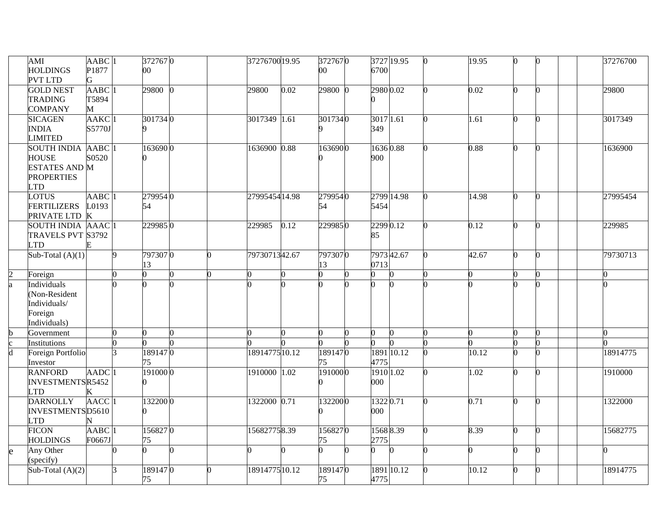|             | AMI                        | AABC <sub>1</sub>   |    | 3727670       |   | 37276700 19.95 |      | 3727670       | 3727 19.95            |  | 19.95 | 0              | 37276700 |
|-------------|----------------------------|---------------------|----|---------------|---|----------------|------|---------------|-----------------------|--|-------|----------------|----------|
|             | <b>HOLDINGS</b>            | P1877               |    | $00 \,$       |   |                |      | $00 \,$       | 6700                  |  |       |                |          |
|             | <b>PVT LTD</b>             | G                   |    |               |   |                |      |               |                       |  |       |                |          |
|             | <b>GOLD NEST</b>           | AABC <sub>1</sub>   |    | 29800         |   | 29800          | 0.02 | 29800         | 2980 0.02             |  | 0.02  | 0              | 29800    |
|             | <b>TRADING</b>             | T5894               |    |               |   |                |      |               |                       |  |       |                |          |
|             | <b>COMPANY</b>             | M                   |    |               |   |                |      |               |                       |  |       |                |          |
|             | <b>SICAGEN</b>             | $AAKC$ <sup>1</sup> |    | 3017340       |   | 3017349 1.61   |      | 3017340       | 3017 1.61             |  | 1.61  | $\overline{0}$ | 3017349  |
|             | <b>INDIA</b>               | S5770J              |    |               |   |                |      |               | 349                   |  |       |                |          |
|             | <b>LIMITED</b>             |                     |    |               |   |                |      |               |                       |  |       |                |          |
|             | <b>SOUTH INDIA</b>         | AABC <sub>1</sub>   |    | 1636900       |   | 1636900 0.88   |      | 1636900       | $1636\overline{0.88}$ |  | 0.88  | 0              | 1636900  |
|             | <b>HOUSE</b>               | S0520               |    |               |   |                |      |               | 900                   |  |       |                |          |
|             | <b>ESTATES AND M</b>       |                     |    |               |   |                |      |               |                       |  |       |                |          |
|             | <b>PROPERTIES</b>          |                     |    |               |   |                |      |               |                       |  |       |                |          |
|             | <b>LTD</b>                 |                     |    |               |   |                |      |               |                       |  |       |                |          |
|             | <b>LOTUS</b>               | $AABC$ <sup>1</sup> |    | 2799540       |   | 2799545414.98  |      | 2799540       | 2799 14.98            |  | 14.98 |                | 27995454 |
|             |                            |                     |    |               |   |                |      |               |                       |  |       | 0              |          |
|             | <b>FERTILIZERS</b>         | 0193                |    | 54            |   |                |      | 54            | 5454                  |  |       |                |          |
|             | PRIVATE LTD                | K                   |    |               |   |                |      |               |                       |  |       |                |          |
|             | SOUTH INDIA AAAC 1         |                     |    | 2299850       |   | 229985         | 0.12 | 2299850       | 2299 0.12             |  | 0.12  | 0              | 229985   |
|             | TRAVELS PVT S3792          |                     |    |               |   |                |      |               | 85                    |  |       |                |          |
|             | <b>LTD</b>                 |                     |    |               |   |                |      |               |                       |  |       |                |          |
|             | Sub-Total $(A)(1)$         |                     | Q. | 7973070       |   | 7973071342.67  |      | 7973070       | 7973 42.67            |  | 42.67 | 0              | 79730713 |
|             |                            |                     |    | 13            |   |                |      | 13            | 0713                  |  |       |                |          |
|             |                            |                     |    |               |   |                |      |               |                       |  |       |                |          |
| 2           | Foreign                    |                     |    |               |   |                |      |               |                       |  |       |                |          |
| ā           | Individuals                |                     |    |               |   |                |      |               |                       |  |       |                |          |
|             | (Non-Resident              |                     |    |               |   |                |      |               |                       |  |       |                |          |
|             | Individuals/               |                     |    |               |   |                |      |               |                       |  |       |                |          |
|             | Foreign                    |                     |    |               |   |                |      |               |                       |  |       |                |          |
|             | Individuals)               |                     |    |               |   |                |      |               |                       |  |       |                |          |
|             | Government                 |                     |    |               |   |                |      |               | 0                     |  |       |                |          |
| $\mathbf c$ | Institutions               |                     |    |               |   |                |      |               |                       |  |       |                |          |
| d           |                            |                     |    | 1891470       |   | 1891477510.12  |      | 1891470       | 1891 10.12            |  | 10.12 | 0              | 18914775 |
|             | Foreign Portfolio          |                     |    | 75            |   |                |      | 75            |                       |  |       |                |          |
|             | Investor<br><b>RANFORD</b> | AADC <sub>1</sub>   |    | 1910000       |   | 1910000 1.02   |      | 1910000       | 4775<br>1910 1.02     |  | 1.02  | 0              |          |
|             |                            |                     |    |               |   |                |      |               | 000                   |  |       |                | 1910000  |
|             | INVESTMENTSR5452           |                     |    |               |   |                |      |               |                       |  |       |                |          |
|             | <b>LTD</b>                 |                     |    |               |   |                |      |               |                       |  |       | 0              |          |
|             | <b>DARNOLLY</b>            | AACC <sup>1</sup>   |    | 1322000       |   | 1322000 0.71   |      | 1322000       | 13220.71              |  | 0.71  |                | 1322000  |
|             | INVESTMENTSD5610           |                     |    |               |   |                |      |               | 000                   |  |       |                |          |
|             | <b>LTD</b>                 |                     |    |               |   |                |      |               |                       |  |       |                |          |
|             | <b>FICON</b>               | $AABC$ <sup>1</sup> |    | 1568270       |   | 156827758.39   |      | 1568270       | 15688.39              |  | 8.39  | 0              | 15682775 |
|             | <b>HOLDINGS</b>            | F0667J              |    | 75            | n |                |      | 75.           | 2775                  |  |       | O.             |          |
| e           | Any Other                  |                     |    |               |   |                |      |               | 0                     |  |       |                |          |
|             | (specify)                  |                     |    |               |   |                |      |               |                       |  |       |                |          |
|             | Sub-Total $(A)(2)$         |                     |    | 1891470<br>75 |   | 1891477510.12  |      | 1891470<br>75 | 1891 10.12<br>4775    |  | 10.12 | 0              | 18914775 |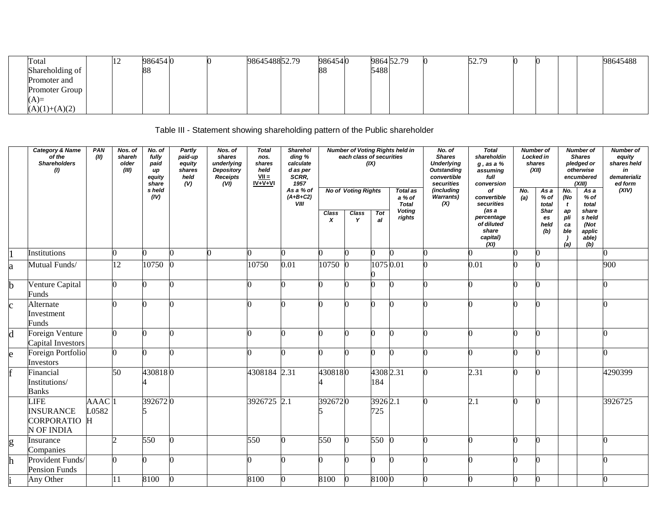| Total                 | $\sim$ | 9864540 |  | 9864548852.79 | 9864540 | 9864 52.79 |  | 52.79 |  |  | 98645488 |
|-----------------------|--------|---------|--|---------------|---------|------------|--|-------|--|--|----------|
| Shareholding of       |        | 88      |  |               | 88      | 5488       |  |       |  |  |          |
| Promoter and          |        |         |  |               |         |            |  |       |  |  |          |
| <b>Promoter Group</b> |        |         |  |               |         |            |  |       |  |  |          |
| (A)                   |        |         |  |               |         |            |  |       |  |  |          |
| $(A)(1)+(A)(2)$       |        |         |  |               |         |            |  |       |  |  |          |

Table III - Statement showing shareholding pattern of the Public shareholder

|              | <b>Category &amp; Name</b><br>of the<br><b>Shareholders</b><br>(1) | PAN<br>(II)              | Nos. of<br>shareh<br>older<br>(III) | No. of<br>fully<br>paid<br>иp<br>equity<br>share<br>s held<br>(IV) | Partly<br>paid-up<br>equity<br>shares<br>held<br>(V) | Nos. of<br>shares<br>underlying<br><b>Depository</b><br>Receipts<br>(VI) | <b>Total</b><br>nos.<br>shares<br>held<br>$VII =$<br>$IV+V+VI$ | Sharehol<br>ding %<br>calculate<br>d as per<br>SCRR.<br>1957<br>As a % of<br>$(A+B+C2)$<br><b>VIII</b> |            | each class of securities<br><b>No of Voting Rights</b> | (IX)             | <b>Number of Voting Rights held in</b><br>Total as<br>a % of<br><b>Total</b><br><b>Voting</b> | No. of<br><b>Shares</b><br><b>Underlying</b><br><b>Outstanding</b><br>convertible<br>securities<br>(including<br><b>Warrants)</b><br>(X) | <b>Total</b><br>shareholdin<br>$g$ , as a $%$<br>assuming<br>full<br>conversion<br>of<br>convertible<br>securities<br>(as a | No.<br>(a) | <b>Number of</b><br>Locked in<br>shares<br>(XII)<br>As a<br>% of<br>total<br>Shar | No.<br>(No<br>$\mathbf{t}$<br>$\pmb{a}\pmb{p}$      | <b>Number of</b><br><b>Shares</b><br>pledged or<br>otherwise<br>encumbered<br>(XIII)<br>$\overline{Asa}$<br>% of<br>total<br>share | <b>Number of</b><br>equity<br>shares held<br>in<br>dematerializ<br>ed form<br>(XIV) |
|--------------|--------------------------------------------------------------------|--------------------------|-------------------------------------|--------------------------------------------------------------------|------------------------------------------------------|--------------------------------------------------------------------------|----------------------------------------------------------------|--------------------------------------------------------------------------------------------------------|------------|--------------------------------------------------------|------------------|-----------------------------------------------------------------------------------------------|------------------------------------------------------------------------------------------------------------------------------------------|-----------------------------------------------------------------------------------------------------------------------------|------------|-----------------------------------------------------------------------------------|-----------------------------------------------------|------------------------------------------------------------------------------------------------------------------------------------|-------------------------------------------------------------------------------------|
|              |                                                                    |                          |                                     |                                                                    |                                                      |                                                                          |                                                                |                                                                                                        | Class<br>X | Class<br>Y                                             | Tot<br>al        | rights                                                                                        |                                                                                                                                          | percentage<br>of diluted<br>share<br>capital)<br>(XI)                                                                       |            | es<br>held<br>(b)                                                                 | pli<br>ca<br>ble<br>$\overline{\phantom{a}}$<br>(a) | s held<br>(Not<br>applic<br>able)<br>(b)                                                                                           |                                                                                     |
|              | Institutions                                                       |                          |                                     |                                                                    |                                                      |                                                                          |                                                                |                                                                                                        |            |                                                        |                  |                                                                                               |                                                                                                                                          |                                                                                                                             |            |                                                                                   |                                                     |                                                                                                                                    |                                                                                     |
| la           | Mutual Funds/                                                      |                          | 12                                  | 10750                                                              |                                                      |                                                                          | 10750                                                          | 0.01                                                                                                   | 10750      |                                                        | 1075 0.01        |                                                                                               |                                                                                                                                          | 0.01                                                                                                                        |            |                                                                                   |                                                     |                                                                                                                                    | 900                                                                                 |
| b.           | Venture Capital<br>Funds                                           |                          | 0                                   |                                                                    |                                                      |                                                                          |                                                                |                                                                                                        |            |                                                        |                  |                                                                                               |                                                                                                                                          |                                                                                                                             |            |                                                                                   |                                                     |                                                                                                                                    |                                                                                     |
| $\mathbf{c}$ | Alternate<br>Investment<br>Funds                                   |                          | ∩                                   |                                                                    |                                                      |                                                                          |                                                                |                                                                                                        |            |                                                        |                  |                                                                                               |                                                                                                                                          |                                                                                                                             |            |                                                                                   |                                                     |                                                                                                                                    |                                                                                     |
| d            | Foreign Venture<br>Capital Investors                               |                          | $\Omega$                            |                                                                    |                                                      |                                                                          |                                                                |                                                                                                        |            |                                                        |                  |                                                                                               |                                                                                                                                          |                                                                                                                             |            |                                                                                   |                                                     |                                                                                                                                    |                                                                                     |
| e            | Foreign Portfolio<br>Investors                                     |                          | U                                   |                                                                    |                                                      |                                                                          |                                                                |                                                                                                        |            |                                                        |                  |                                                                                               |                                                                                                                                          |                                                                                                                             |            |                                                                                   |                                                     |                                                                                                                                    |                                                                                     |
|              | Financial<br>Institutions/<br><b>Banks</b>                         |                          | 50                                  | 4308180                                                            |                                                      |                                                                          | 4308184 2.31                                                   |                                                                                                        | 4308180    |                                                        | 4308 2.31<br>184 |                                                                                               |                                                                                                                                          | 2.31                                                                                                                        |            |                                                                                   |                                                     |                                                                                                                                    | 4290399                                                                             |
|              | <b>LIFE</b><br><b>INSURANCE</b><br>CORPORATIO<br>N OF INDIA        | <b>AAAC</b><br>0582<br>H |                                     | 3926720                                                            |                                                      |                                                                          | 3926725 2.1                                                    |                                                                                                        | 3926720    |                                                        | 39262.1<br>725   |                                                                                               |                                                                                                                                          | 2.1                                                                                                                         |            |                                                                                   |                                                     |                                                                                                                                    | 3926725                                                                             |
| g            | Insurance<br>Companies                                             |                          | n.                                  | 550                                                                |                                                      |                                                                          | 550                                                            |                                                                                                        | 550        |                                                        | 550              |                                                                                               |                                                                                                                                          |                                                                                                                             |            |                                                                                   |                                                     |                                                                                                                                    |                                                                                     |
| h            | Provident Funds/<br>Pension Funds                                  |                          | ∩                                   |                                                                    |                                                      |                                                                          |                                                                |                                                                                                        |            |                                                        |                  |                                                                                               |                                                                                                                                          |                                                                                                                             |            |                                                                                   |                                                     |                                                                                                                                    |                                                                                     |
|              | Any Other                                                          |                          | 11                                  | 8100                                                               |                                                      |                                                                          | 8100                                                           |                                                                                                        | 8100       | $\bf{0}$                                               | 81000            |                                                                                               |                                                                                                                                          |                                                                                                                             |            |                                                                                   |                                                     |                                                                                                                                    |                                                                                     |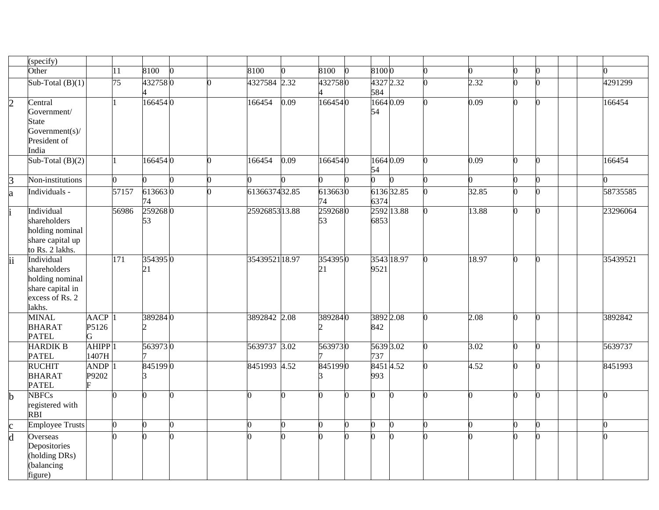|                | specify)                                                                                       |                                 |                |               |              |               |          |               |                  |            |       |    |  |          |
|----------------|------------------------------------------------------------------------------------------------|---------------------------------|----------------|---------------|--------------|---------------|----------|---------------|------------------|------------|-------|----|--|----------|
|                | Other                                                                                          |                                 | 11             | 8100          | $\mathbf{0}$ | 8100          | n        | 8100          | 81000            |            | n     | n  |  |          |
|                | Sub-Total $(B)(1)$                                                                             |                                 | 75             | 4327580       |              | 4327584 2.32  |          | 4327580       | 4327 2.32<br>584 |            | 2.32  | n  |  | 4291299  |
| $\overline{2}$ | Central<br>Government/<br><b>State</b><br>Government(s)/<br>President of<br>India              |                                 |                | 1664540       |              | 166454        | 0.09     | 1664540       | 16640.09<br>54   |            | 0.09  | 0  |  | 166454   |
|                | Sub-Total $(B)(2)$                                                                             |                                 |                | 1664540       |              | 166454        | 0.09     | 1664540       | 1664 0.09<br>54  |            | 0.09  | O. |  | 166454   |
| 3              | Non-institutions                                                                               |                                 | 0              |               | O.           | 0             | n        |               |                  |            | ∩     | 0  |  |          |
| a              | Individuals -                                                                                  |                                 | 57157          | 6136630<br>74 |              | 6136637432.85 |          | 6136630<br>74 | 6374             | 6136 32.85 | 32.85 | O. |  | 58735585 |
|                | Individual<br>shareholders<br>holding nominal<br>share capital up<br>to Rs. 2 lakhs.           |                                 | 56986          | 2592680<br>53 |              | 2592685313.88 |          | 2592680<br>53 | 6853             | 2592 13.88 | 13.88 | O. |  | 23296064 |
| ii.            | Individual<br>shareholders<br>holding nominal<br>share capital in<br>excess of Rs. 2<br>lakhs. |                                 | 171            | 3543950<br>21 |              | 3543952118.97 |          | 3543950<br>21 | 9521             | 3543 18.97 | 18.97 | 0  |  | 35439521 |
|                | <b>MINAL</b><br><b>BHARAT</b><br><b>PATEL</b>                                                  | AACP <sub>1</sub><br>P5126<br>G |                | 3892840       |              | 3892842 2.08  |          | 3892840       | 3892 2.08<br>842 |            | 2.08  | n  |  | 3892842  |
|                | <b>HARDIK B</b><br><b>PATEL</b>                                                                | AHIPP <sup>1</sup><br>1407H     |                | 5639730       |              | 5639737 3.02  |          | 5639730       | 5639 3.02<br>737 |            | 3.02  | 0  |  | 5639737  |
|                | <b>RUCHIT</b><br><b>BHARAT</b><br><b>PATEL</b>                                                 | ANDP <sub>1</sub><br>P9202      |                | 8451990       |              | 8451993 4.52  |          | 8451990       | 84514.52<br>993  |            | 4.52  | O. |  | 8451993  |
| b              | <b>NBFCs</b><br>registered with<br><b>RBI</b>                                                  |                                 | 0              |               | n            | 0             | O.       | U             | n                |            | 0     | O. |  | ∩        |
| $\mathbf c$    | <b>Employee Trusts</b>                                                                         |                                 | $\overline{0}$ | 0             | $\mathbf{0}$ | 0             | $\Omega$ |               | 0                |            | 0     | 0  |  | n        |
| d              | Overseas<br>Depositories<br>(holding DRs)<br>(balancing<br>figure)                             |                                 |                |               |              |               | n        |               |                  |            |       |    |  |          |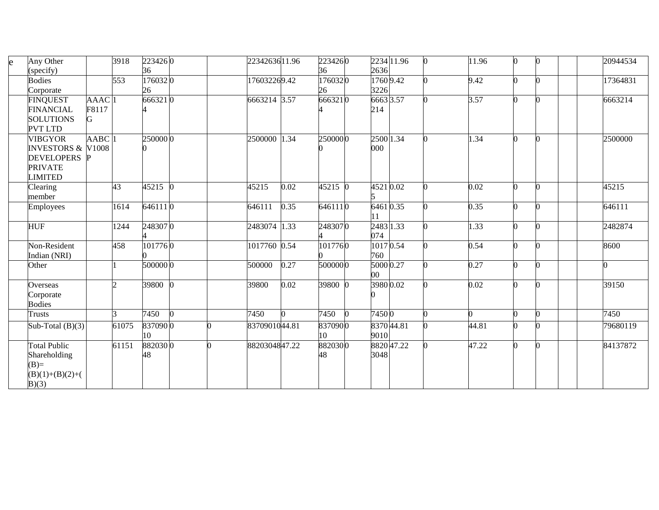| Any Other<br>e      |                              | 3918  | 2234260 | 2234263611.96 |      | 2234260 | 2234 11.96 | 11.96 | 0        | 20944534 |
|---------------------|------------------------------|-------|---------|---------------|------|---------|------------|-------|----------|----------|
| specify)            |                              |       | 36      |               |      | 36      | 2636       |       |          |          |
| <b>Bodies</b>       |                              | 553   | 1760320 | 176032269.42  |      | 1760320 | 1760 9.42  | 9.42  | 0        | 17364831 |
| Corporate           |                              |       | 26      |               |      | 26      | 3226       |       |          |          |
| <b>FINQUEST</b>     | AAAC <sup>1</sup>            |       | 6663210 | 6663214 3.57  |      | 6663210 | 6663 3.57  | 3.57  | 0        | 6663214  |
| <b>FINANCIAL</b>    | F8117                        |       |         |               |      |         | 214        |       |          |          |
| <b>SOLUTIONS</b>    | G                            |       |         |               |      |         |            |       |          |          |
| <b>PVT LTD</b>      |                              |       |         |               |      |         |            |       |          |          |
| <b>VIBGYOR</b>      | AABC <sup>1</sup>            |       | 2500000 | 2500000 1.34  |      | 2500000 | 2500 1.34  | 1.34  | 0        | 2500000  |
|                     | <b>INVESTORS &amp; V1008</b> |       |         |               |      |         | 000        |       |          |          |
| <b>DEVELOPERS</b>   |                              |       |         |               |      |         |            |       |          |          |
| <b>PRIVATE</b>      |                              |       |         |               |      |         |            |       |          |          |
| <b>LIMITED</b>      |                              |       |         |               |      |         |            |       |          |          |
| Clearing            |                              | 43    | 45215 0 | 45215         | 0.02 | 45215 0 | 45210.02   | 0.02  | $\Omega$ | 45215    |
| member              |                              |       |         |               |      |         |            |       |          |          |
| Employees           |                              | 1614  | 6461110 | 646111        | 0.35 | 6461110 | 64610.35   | 0.35  | 0        | 646111   |
|                     |                              |       |         |               |      |         |            |       |          |          |
| <b>HUF</b>          |                              | 1244  | 2483070 | 2483074 1.33  |      | 2483070 | 2483 1.33  | 1.33  | 0        | 2482874  |
|                     |                              |       |         |               |      |         | 074        |       |          |          |
| Non-Resident        |                              | 458   | 1017760 | 1017760 0.54  |      | 1017760 | 10170.54   | 0.54  | 0        | 8600     |
| Indian (NRI)        |                              |       |         |               |      |         | 760        |       |          |          |
| Other               |                              |       | 5000000 | 500000        | 0.27 | 5000000 | 5000 0.27  | 0.27  | 0        |          |
|                     |                              |       |         |               |      |         | 00         |       |          |          |
| Overseas            |                              | l C   | 39800 0 | 39800         | 0.02 | 39800 0 | 39800.02   | 0.02  | 0        | 39150    |
| Corporate           |                              |       |         |               |      |         |            |       |          |          |
| <b>Bodies</b>       |                              |       |         |               |      |         |            |       |          |          |
| Trusts              |                              |       | 7450    | 7450          |      | 7450    | 74500      |       | 0        | 7450     |
| Sub-Total $(B)(3)$  |                              | 61075 | 8370900 | 8370901044.81 |      | 8370900 | 8370 44.81 | 44.81 | 0        | 79680119 |
|                     |                              |       | 10      |               |      | 10      | 9010       |       |          |          |
| <b>Total Public</b> |                              | 61151 | 8820300 | 8820304847.22 |      | 8820300 | 8820 47.22 | 47.22 | 0        | 84137872 |
| Shareholding        |                              |       | 48      |               |      | 48      | 3048       |       |          |          |
| $(B)=$              |                              |       |         |               |      |         |            |       |          |          |
| $(B)(1)+(B)(2)+($   |                              |       |         |               |      |         |            |       |          |          |
| B)(3)               |                              |       |         |               |      |         |            |       |          |          |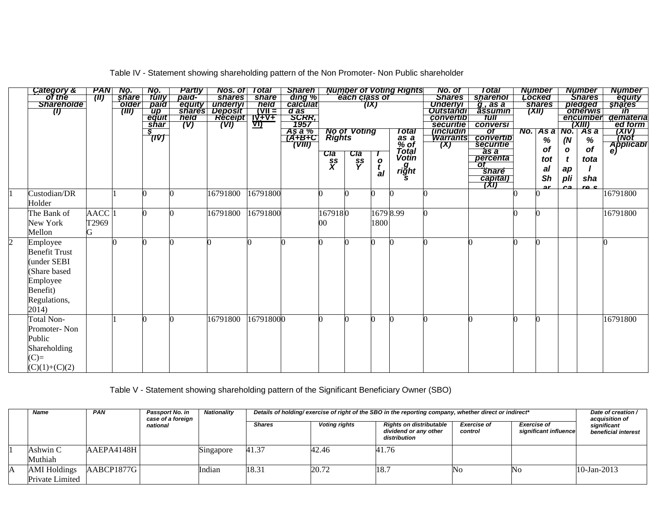|                | Category &           | <b>PAN</b>        | No.          | NO.                  | <b>Partiv</b> | Nos. of                | Total          | <b>Shareh</b> I                                 |                                                 |                        |              | <b>Number of Voting Rights</b> | No. of                        | Total                       | <b>Number</b>  |              | <b>Number</b>                             | <b>Number</b>   |
|----------------|----------------------|-------------------|--------------|----------------------|---------------|------------------------|----------------|-------------------------------------------------|-------------------------------------------------|------------------------|--------------|--------------------------------|-------------------------------|-----------------------------|----------------|--------------|-------------------------------------------|-----------------|
|                | of the               | (III)             | <b>share</b> | tûlly                | paid-         | <b>shares</b>          | <b>share</b>   | ding %                                          |                                                 | each class of          |              |                                | <b>Shares</b>                 | sharehol                    | Locked         |              | <b>Shares</b>                             | equity          |
|                | <b>Shareholde</b>    |                   | older        | paid                 | equity        | underlyi               | neid –         | calculat<br>d as                                |                                                 |                        | (IX)         |                                | <b>Underlyl</b>               | g, as a                     | <b>shares</b>  |              | pledged                                   | shares          |
|                | $\left( 0\right)$    |                   | (TII)        | $\mathbf{u}$         | held          | shares Deposit         | $(VII =$       | SCRR,                                           |                                                 |                        |              |                                | <b>Outstandr</b><br>convertib | assumin<br>tull             | (XII)          |              | <b><i><u>Otherwis</u></i></b><br>encumber | Tn<br>demateria |
|                |                      |                   |              | <u>equit</u><br>shar | (V)           | <b>Receipt</b><br>(VI) | $\frac{1}{10}$ | 1957                                            |                                                 |                        |              |                                | securitie                     | conversi                    |                |              | $\overline{(XIII)}$                       | ed form         |
|                |                      |                   |              | s.                   |               |                        |                |                                                 |                                                 |                        |              | Total                          | <i>(includin</i>              | $\overline{ot}$             | $No.$ As a No. |              | As a                                      |                 |
|                |                      |                   |              | 70V)                 |               |                        |                | $\frac{A\overline{s} \overline{a} \%}{(A+B+C)}$ |                                                 | No of Voting<br>Rights |              | as a<br>% of                   | <b>Warrants</b>               | convertib                   | %              | (N)          | $\%$                                      | (XIV)<br>(Not   |
|                |                      |                   |              |                      |               |                        |                | (VIII)                                          |                                                 |                        |              |                                | (X)                           | securitie                   | of             |              | of                                        | Applicable      |
|                |                      |                   |              |                      |               |                        |                |                                                 |                                                 |                        |              | Íotal<br>Votin                 |                               | as a                        |                | $\mathbf{o}$ |                                           |                 |
|                |                      |                   |              |                      |               |                        |                |                                                 | $rac{\overline{C\text{la}}}{\text{S}\text{S}}}$ | Cla<br>ss<br>Y         | $\mathbf{o}$ |                                |                               | percenta<br>$\overline{ot}$ | tot            | t            | tota                                      |                 |
|                |                      |                   |              |                      |               |                        |                |                                                 |                                                 |                        | t            | right                          |                               | <b><i><u>Share</u></i></b>  | al             | ap           |                                           |                 |
|                |                      |                   |              |                      |               |                        |                |                                                 |                                                 |                        | al           |                                |                               | capital)                    | Sh             | pli          | sha                                       |                 |
|                |                      |                   |              |                      |               |                        |                |                                                 |                                                 |                        |              |                                |                               |                             |                |              | ro c                                      |                 |
|                | Custodian/DR         |                   |              |                      |               | 16791800               | 16791800       |                                                 |                                                 |                        |              |                                |                               |                             |                |              |                                           | 16791800        |
|                | Holder               |                   |              |                      |               |                        |                |                                                 |                                                 |                        |              |                                |                               |                             |                |              |                                           |                 |
|                | The Bank of          | AACC <sup>1</sup> |              |                      |               | 16791800               | 16791800       |                                                 | 1679180                                         |                        | 1679 8.99    |                                |                               |                             |                |              |                                           | 16791800        |
|                | New York             | T2969             |              |                      |               |                        |                |                                                 | 00                                              |                        | 1800         |                                |                               |                             |                |              |                                           |                 |
|                | Mellon               | G                 |              |                      |               |                        |                |                                                 |                                                 |                        |              |                                |                               |                             |                |              |                                           |                 |
| $\overline{2}$ | Employee             |                   |              |                      |               |                        |                |                                                 |                                                 |                        |              |                                |                               |                             |                |              |                                           | ∩               |
|                | <b>Benefit Trust</b> |                   |              |                      |               |                        |                |                                                 |                                                 |                        |              |                                |                               |                             |                |              |                                           |                 |
|                | under SEBI           |                   |              |                      |               |                        |                |                                                 |                                                 |                        |              |                                |                               |                             |                |              |                                           |                 |
|                | Share based          |                   |              |                      |               |                        |                |                                                 |                                                 |                        |              |                                |                               |                             |                |              |                                           |                 |
|                | Employee             |                   |              |                      |               |                        |                |                                                 |                                                 |                        |              |                                |                               |                             |                |              |                                           |                 |
|                | Benefit)             |                   |              |                      |               |                        |                |                                                 |                                                 |                        |              |                                |                               |                             |                |              |                                           |                 |
|                | Regulations,         |                   |              |                      |               |                        |                |                                                 |                                                 |                        |              |                                |                               |                             |                |              |                                           |                 |
|                | 2014)                |                   |              |                      |               |                        |                |                                                 |                                                 |                        |              |                                |                               |                             |                |              |                                           |                 |
|                |                      |                   |              |                      |               |                        |                |                                                 |                                                 |                        |              |                                |                               |                             |                |              |                                           |                 |
|                | Total Non-           |                   |              |                      |               | 16791800               | 167918000      |                                                 |                                                 |                        |              |                                |                               |                             |                |              |                                           | 16791800        |
|                | Promoter-Non         |                   |              |                      |               |                        |                |                                                 |                                                 |                        |              |                                |                               |                             |                |              |                                           |                 |
|                | Public               |                   |              |                      |               |                        |                |                                                 |                                                 |                        |              |                                |                               |                             |                |              |                                           |                 |
|                | Shareholding         |                   |              |                      |               |                        |                |                                                 |                                                 |                        |              |                                |                               |                             |                |              |                                           |                 |
|                | $(C)=$               |                   |              |                      |               |                        |                |                                                 |                                                 |                        |              |                                |                               |                             |                |              |                                           |                 |
|                |                      |                   |              |                      |               |                        |                |                                                 |                                                 |                        |              |                                |                               |                             |                |              |                                           |                 |
|                | $(C)(1)+(C)(2)$      |                   |              |                      |               |                        |                |                                                 |                                                 |                        |              |                                |                               |                             |                |              |                                           |                 |

Table IV - Statement showing shareholding pattern of the Non Promoter- Non Public shareholder

Table V - Statement showing shareholding pattern of the Significant Beneficiary Owner (SBO)

| <b>Name</b>         | <b>PAN</b> | <b>Passport No. in</b><br>case of a foreign | Nationality |               |                      | Details of holding/exercise of right of the SBO in the reporting company, whether direct or indirect* |                               |                                             | Date of creation /<br>acquisition of |
|---------------------|------------|---------------------------------------------|-------------|---------------|----------------------|-------------------------------------------------------------------------------------------------------|-------------------------------|---------------------------------------------|--------------------------------------|
|                     |            | national                                    |             | <b>Shares</b> | <b>Voting rights</b> | <b>Rights on distributable</b><br>dividend or any other<br>distribution                               | <b>Exercise of</b><br>control | <b>Exercise of</b><br>significant influence | significant<br>beneficial interest   |
| Ashwin C            | AAEPA4148H |                                             | Singapore   | 41.37         | 42.46                | 41.76                                                                                                 |                               |                                             |                                      |
| Muthiah             |            |                                             |             |               |                      |                                                                                                       |                               |                                             |                                      |
| <b>AMI</b> Holdings | AABCP1877G |                                             | Indian      | 18.31         | 20.72                | 18.7                                                                                                  | No                            | No                                          | $10$ -Jan-2013                       |
| Private Limited     |            |                                             |             |               |                      |                                                                                                       |                               |                                             |                                      |